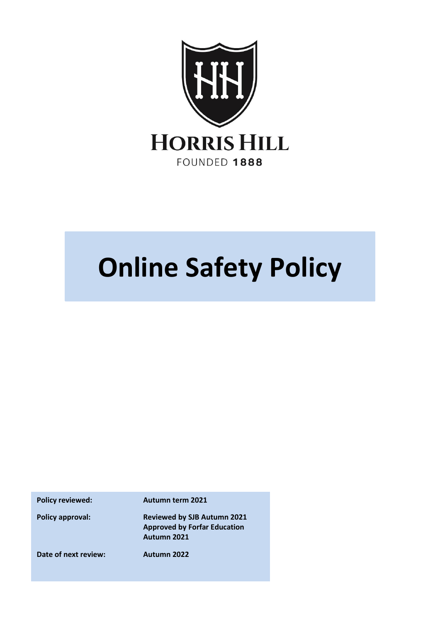

# **Online Safety Policy**

**Policy reviewed: Autumn term 2021**

**Policy approval: Reviewed by SJB Autumn 2021 Approved by Forfar Education Autumn 2021**

**Date of next review: Autumn 2022**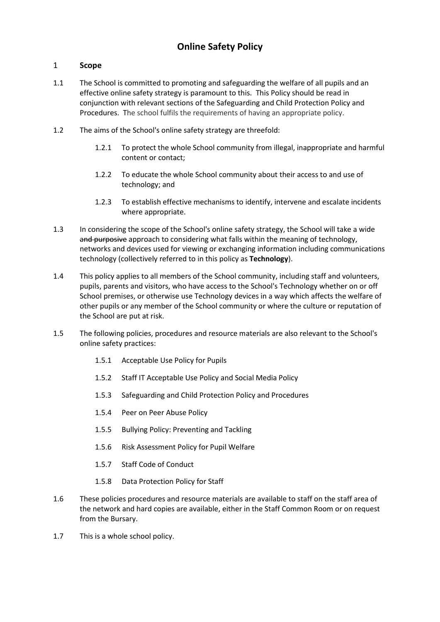# 1 **Scope**

- 1.1 The School is committed to promoting and safeguarding the welfare of all pupils and an effective online safety strategy is paramount to this. This Policy should be read in conjunction with relevant sections of the Safeguarding and Child Protection Policy and Procedures. The school fulfils the requirements of having an appropriate policy.
- 1.2 The aims of the School's online safety strategy are threefold:
	- 1.2.1 To protect the whole School community from illegal, inappropriate and harmful content or contact;
	- 1.2.2 To educate the whole School community about their access to and use of technology; and
	- 1.2.3 To establish effective mechanisms to identify, intervene and escalate incidents where appropriate.
- 1.3 In considering the scope of the School's online safety strategy, the School will take a wide and purposive approach to considering what falls within the meaning of technology, networks and devices used for viewing or exchanging information including communications technology (collectively referred to in this policy as **Technology**).
- 1.4 This policy applies to all members of the School community, including staff and volunteers, pupils, parents and visitors, who have access to the School's Technology whether on or off School premises, or otherwise use Technology devices in a way which affects the welfare of other pupils or any member of the School community or where the culture or reputation of the School are put at risk.
- 1.5 The following policies, procedures and resource materials are also relevant to the School's online safety practices:
	- 1.5.1 Acceptable Use Policy for Pupils
	- 1.5.2 Staff IT Acceptable Use Policy and Social Media Policy
	- 1.5.3 Safeguarding and Child Protection Policy and Procedures
	- 1.5.4 Peer on Peer Abuse Policy
	- 1.5.5 Bullying Policy: Preventing and Tackling
	- 1.5.6 Risk Assessment Policy for Pupil Welfare
	- 1.5.7 Staff Code of Conduct
	- 1.5.8 Data Protection Policy for Staff
- 1.6 These policies procedures and resource materials are available to staff on the staff area of the network and hard copies are available, either in the Staff Common Room or on request from the Bursary.
- 1.7 This is a whole school policy.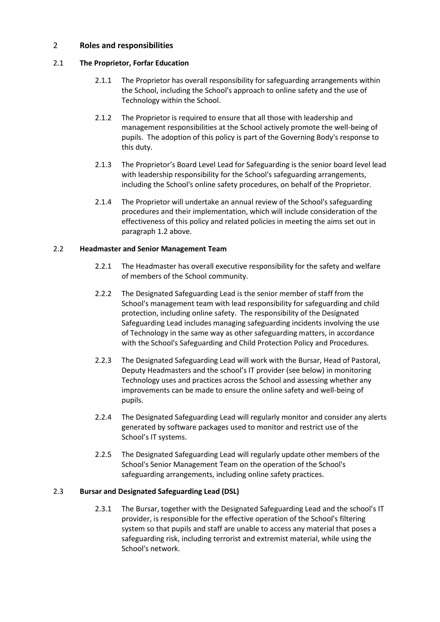## 2 **Roles and responsibilities**

## 2.1 **The Proprietor, Forfar Education**

- 2.1.1 The Proprietor has overall responsibility for safeguarding arrangements within the School, including the School's approach to online safety and the use of Technology within the School.
- 2.1.2 The Proprietor is required to ensure that all those with leadership and management responsibilities at the School actively promote the well-being of pupils. The adoption of this policy is part of the Governing Body's response to this duty.
- 2.1.3 The Proprietor's Board Level Lead for Safeguarding is the senior board level lead with leadership responsibility for the School's safeguarding arrangements, including the School's online safety procedures, on behalf of the Proprietor.
- 2.1.4 The Proprietor will undertake an annual review of the School's safeguarding procedures and their implementation, which will include consideration of the effectiveness of this policy and related policies in meeting the aims set out in paragraph 1.2 above.

## 2.2 **Headmaster and Senior Management Team**

- 2.2.1 The Headmaster has overall executive responsibility for the safety and welfare of members of the School community.
- 2.2.2 The Designated Safeguarding Lead is the senior member of staff from the School's management team with lead responsibility for safeguarding and child protection, including online safety. The responsibility of the Designated Safeguarding Lead includes managing safeguarding incidents involving the use of Technology in the same way as other safeguarding matters, in accordance with the School's Safeguarding and Child Protection Policy and Procedures.
- 2.2.3 The Designated Safeguarding Lead will work with the Bursar, Head of Pastoral, Deputy Headmasters and the school's IT provider (see below) in monitoring Technology uses and practices across the School and assessing whether any improvements can be made to ensure the online safety and well-being of pupils.
- 2.2.4 The Designated Safeguarding Lead will regularly monitor and consider any alerts generated by software packages used to monitor and restrict use of the School's IT systems.
- 2.2.5 The Designated Safeguarding Lead will regularly update other members of the School's Senior Management Team on the operation of the School's safeguarding arrangements, including online safety practices.

## 2.3 **Bursar and Designated Safeguarding Lead (DSL)**

2.3.1 The Bursar, together with the Designated Safeguarding Lead and the school's IT provider, is responsible for the effective operation of the School's filtering system so that pupils and staff are unable to access any material that poses a safeguarding risk, including terrorist and extremist material, while using the School's network.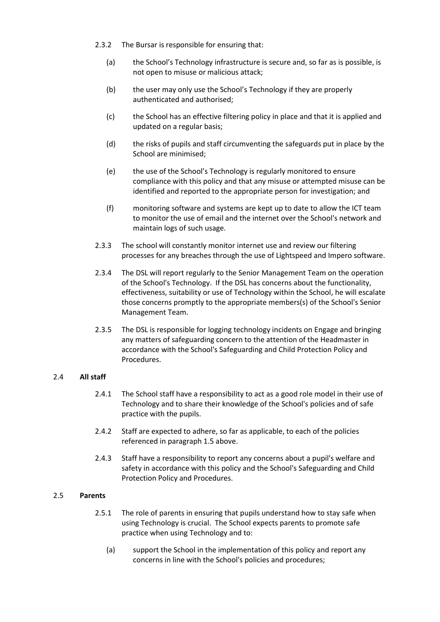- 2.3.2 The Bursar is responsible for ensuring that:
	- (a) the School's Technology infrastructure is secure and, so far as is possible, is not open to misuse or malicious attack;
	- (b) the user may only use the School's Technology if they are properly authenticated and authorised;
	- (c) the School has an effective filtering policy in place and that it is applied and updated on a regular basis;
	- (d) the risks of pupils and staff circumventing the safeguards put in place by the School are minimised;
	- (e) the use of the School's Technology is regularly monitored to ensure compliance with this policy and that any misuse or attempted misuse can be identified and reported to the appropriate person for investigation; and
	- (f) monitoring software and systems are kept up to date to allow the ICT team to monitor the use of email and the internet over the School's network and maintain logs of such usage.
- 2.3.3 The school will constantly monitor internet use and review our filtering processes for any breaches through the use of Lightspeed and Impero software.
- 2.3.4 The DSL will report regularly to the Senior Management Team on the operation of the School's Technology. If the DSL has concerns about the functionality, effectiveness, suitability or use of Technology within the School, he will escalate those concerns promptly to the appropriate members(s) of the School's Senior Management Team.
- 2.3.5 The DSL is responsible for logging technology incidents on Engage and bringing any matters of safeguarding concern to the attention of the Headmaster in accordance with the School's Safeguarding and Child Protection Policy and Procedures.

# 2.4 **All staff**

- 2.4.1 The School staff have a responsibility to act as a good role model in their use of Technology and to share their knowledge of the School's policies and of safe practice with the pupils.
- 2.4.2 Staff are expected to adhere, so far as applicable, to each of the policies referenced in paragraph 1.5 above.
- 2.4.3 Staff have a responsibility to report any concerns about a pupil's welfare and safety in accordance with this policy and the School's Safeguarding and Child Protection Policy and Procedures.

# 2.5 **Parents**

- 2.5.1 The role of parents in ensuring that pupils understand how to stay safe when using Technology is crucial. The School expects parents to promote safe practice when using Technology and to:
	- (a) support the School in the implementation of this policy and report any concerns in line with the School's policies and procedures;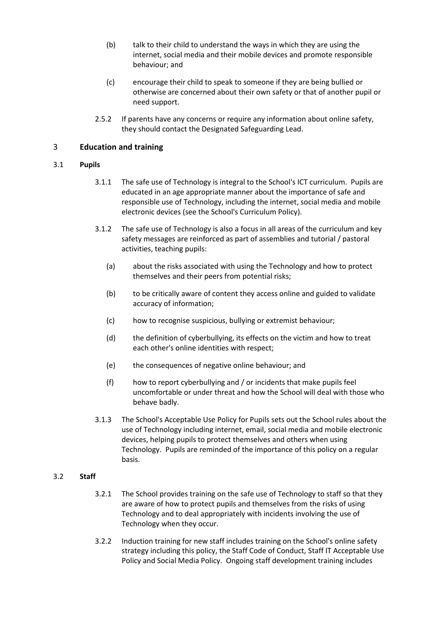- (b) talk to their child to understand the ways in which they are using the internet, social media and their mobile devices and promote responsible behaviour; and
- (c) encourage their child to speak to someone if they are being bullied or otherwise are concerned about their own safety or that of another pupil or need support.
- 2.5.2 If parents have any concerns or require any information about online safety, they should contact the Designated Safeguarding Lead.

# 3 **Education and training**

## 3.1 **Pupils**

- 3.1.1 The safe use of Technology is integral to the School's ICT curriculum. Pupils are educated in an age appropriate manner about the importance of safe and responsible use of Technology, including the internet, social media and mobile electronic devices (see the School's Curriculum Policy).
- 3.1.2 The safe use of Technology is also a focus in all areas of the curriculum and key safety messages are reinforced as part of assemblies and tutorial / pastoral activities, teaching pupils:
	- (a) about the risks associated with using the Technology and how to protect themselves and their peers from potential risks;
	- (b) to be critically aware of content they access online and guided to validate accuracy of information;
	- (c) how to recognise suspicious, bullying or extremist behaviour;
	- (d) the definition of cyberbullying, its effects on the victim and how to treat each other's online identities with respect;
	- (e) the consequences of negative online behaviour; and
	- (f) how to report cyberbullying and / or incidents that make pupils feel uncomfortable or under threat and how the School will deal with those who behave badly.
- 3.1.3 The School's Acceptable Use Policy for Pupils sets out the School rules about the use of Technology including internet, email, social media and mobile electronic devices, helping pupils to protect themselves and others when using Technology. Pupils are reminded of the importance of this policy on a regular basis.

## 3.2 **Staff**

- 3.2.1 The School provides training on the safe use of Technology to staff so that they are aware of how to protect pupils and themselves from the risks of using Technology and to deal appropriately with incidents involving the use of Technology when they occur.
- 3.2.2 Induction training for new staff includes training on the School's online safety strategy including this policy, the Staff Code of Conduct, Staff IT Acceptable Use Policy and Social Media Policy. Ongoing staff development training includes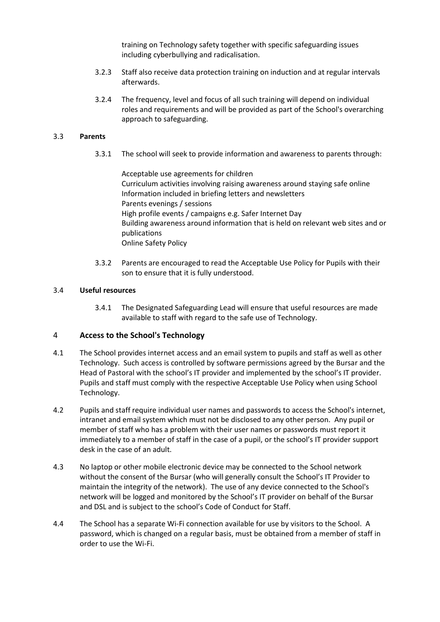training on Technology safety together with specific safeguarding issues including cyberbullying and radicalisation.

- 3.2.3 Staff also receive data protection training on induction and at regular intervals afterwards.
- 3.2.4 The frequency, level and focus of all such training will depend on individual roles and requirements and will be provided as part of the School's overarching approach to safeguarding.

## 3.3 **Parents**

3.3.1 The school will seek to provide information and awareness to parents through:

Acceptable use agreements for children Curriculum activities involving raising awareness around staying safe online Information included in briefing letters and newsletters Parents evenings / sessions High profile events / campaigns e.g. Safer Internet Day Building awareness around information that is held on relevant web sites and or publications Online Safety Policy

3.3.2 Parents are encouraged to read the Acceptable Use Policy for Pupils with their son to ensure that it is fully understood.

#### 3.4 **Useful resources**

3.4.1 The Designated Safeguarding Lead will ensure that useful resources are made available to staff with regard to the safe use of Technology.

## 4 **Access to the School's Technology**

- 4.1 The School provides internet access and an email system to pupils and staff as well as other Technology. Such access is controlled by software permissions agreed by the Bursar and the Head of Pastoral with the school's IT provider and implemented by the school's IT provider. Pupils and staff must comply with the respective Acceptable Use Policy when using School Technology.
- 4.2 Pupils and staff require individual user names and passwords to access the School's internet, intranet and email system which must not be disclosed to any other person. Any pupil or member of staff who has a problem with their user names or passwords must report it immediately to a member of staff in the case of a pupil, or the school's IT provider support desk in the case of an adult.
- 4.3 No laptop or other mobile electronic device may be connected to the School network without the consent of the Bursar (who will generally consult the School's IT Provider to maintain the integrity of the network). The use of any device connected to the School's network will be logged and monitored by the School's IT provider on behalf of the Bursar and DSL and is subject to the school's Code of Conduct for Staff.
- 4.4 The School has a separate Wi-Fi connection available for use by visitors to the School. A password, which is changed on a regular basis, must be obtained from a member of staff in order to use the Wi-Fi.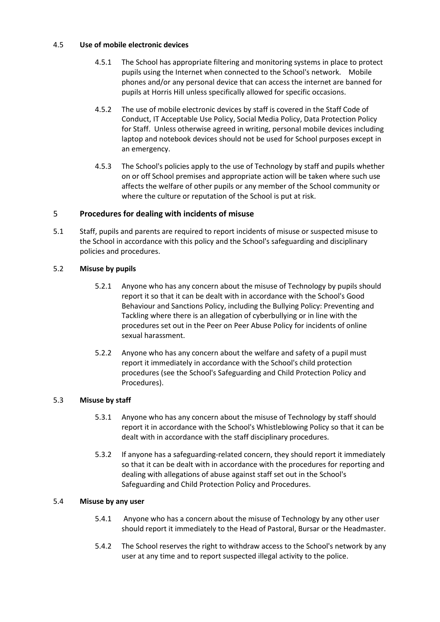## 4.5 **Use of mobile electronic devices**

- 4.5.1 The School has appropriate filtering and monitoring systems in place to protect pupils using the Internet when connected to the School's network. Mobile phones and/or any personal device that can access the internet are banned for pupils at Horris Hill unless specifically allowed for specific occasions.
- 4.5.2 The use of mobile electronic devices by staff is covered in the Staff Code of Conduct, IT Acceptable Use Policy, Social Media Policy, Data Protection Policy for Staff. Unless otherwise agreed in writing, personal mobile devices including laptop and notebook devices should not be used for School purposes except in an emergency.
- 4.5.3 The School's policies apply to the use of Technology by staff and pupils whether on or off School premises and appropriate action will be taken where such use affects the welfare of other pupils or any member of the School community or where the culture or reputation of the School is put at risk.

# 5 **Procedures for dealing with incidents of misuse**

5.1 Staff, pupils and parents are required to report incidents of misuse or suspected misuse to the School in accordance with this policy and the School's safeguarding and disciplinary policies and procedures.

# 5.2 **Misuse by pupils**

- 5.2.1 Anyone who has any concern about the misuse of Technology by pupils should report it so that it can be dealt with in accordance with the School's Good Behaviour and Sanctions Policy, including the Bullying Policy: Preventing and Tackling where there is an allegation of cyberbullying or in line with the procedures set out in the Peer on Peer Abuse Policy for incidents of online sexual harassment.
- 5.2.2 Anyone who has any concern about the welfare and safety of a pupil must report it immediately in accordance with the School's child protection procedures (see the School's Safeguarding and Child Protection Policy and Procedures).

# 5.3 **Misuse by staff**

- 5.3.1 Anyone who has any concern about the misuse of Technology by staff should report it in accordance with the School's Whistleblowing Policy so that it can be dealt with in accordance with the staff disciplinary procedures.
- 5.3.2 If anyone has a safeguarding-related concern, they should report it immediately so that it can be dealt with in accordance with the procedures for reporting and dealing with allegations of abuse against staff set out in the School's Safeguarding and Child Protection Policy and Procedures.

# 5.4 **Misuse by any user**

- 5.4.1 Anyone who has a concern about the misuse of Technology by any other user should report it immediately to the Head of Pastoral, Bursar or the Headmaster.
- 5.4.2 The School reserves the right to withdraw access to the School's network by any user at any time and to report suspected illegal activity to the police.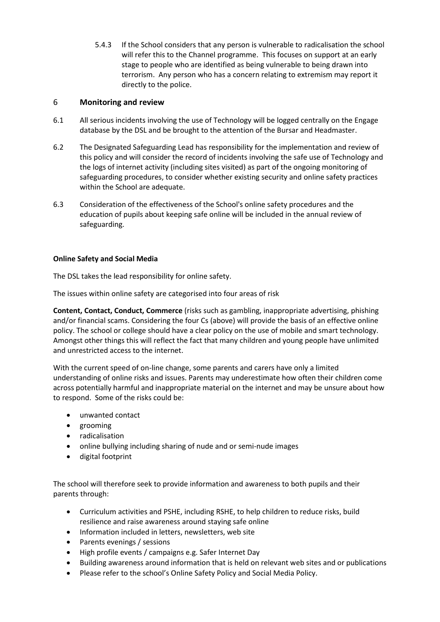5.4.3 If the School considers that any person is vulnerable to radicalisation the school will refer this to the Channel programme. This focuses on support at an early stage to people who are identified as being vulnerable to being drawn into terrorism. Any person who has a concern relating to extremism may report it directly to the police.

# 6 **Monitoring and review**

- 6.1 All serious incidents involving the use of Technology will be logged centrally on the Engage database by the DSL and be brought to the attention of the Bursar and Headmaster.
- 6.2 The Designated Safeguarding Lead has responsibility for the implementation and review of this policy and will consider the record of incidents involving the safe use of Technology and the logs of internet activity (including sites visited) as part of the ongoing monitoring of safeguarding procedures, to consider whether existing security and online safety practices within the School are adequate.
- 6.3 Consideration of the effectiveness of the School's online safety procedures and the education of pupils about keeping safe online will be included in the annual review of safeguarding.

# **Online Safety and Social Media**

The DSL takes the lead responsibility for online safety.

The issues within online safety are categorised into four areas of risk

**Content, Contact, Conduct, Commerce** (risks such as gambling, inappropriate advertising, phishing and/or financial scams. Considering the four Cs (above) will provide the basis of an effective online policy. The school or college should have a clear policy on the use of mobile and smart technology. Amongst other things this will reflect the fact that many children and young people have unlimited and unrestricted access to the internet.

With the current speed of on-line change, some parents and carers have only a limited understanding of online risks and issues. Parents may underestimate how often their children come across potentially harmful and inappropriate material on the internet and may be unsure about how to respond. Some of the risks could be:

- unwanted contact
- grooming
- radicalisation
- online bullying including sharing of nude and or semi-nude images
- digital footprint

The school will therefore seek to provide information and awareness to both pupils and their parents through:

- Curriculum activities and PSHE, including RSHE, to help children to reduce risks, build resilience and raise awareness around staying safe online
- Information included in letters, newsletters, web site
- Parents evenings / sessions
- High profile events / campaigns e.g. Safer Internet Day
- Building awareness around information that is held on relevant web sites and or publications
- Please refer to the school's Online Safety Policy and Social Media Policy.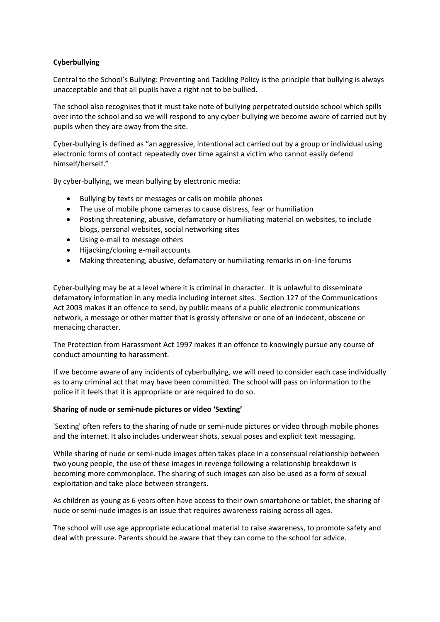# **Cyberbullying**

Central to the School's Bullying: Preventing and Tackling Policy is the principle that bullying is always unacceptable and that all pupils have a right not to be bullied.

The school also recognises that it must take note of bullying perpetrated outside school which spills over into the school and so we will respond to any cyber-bullying we become aware of carried out by pupils when they are away from the site.

Cyber-bullying is defined as "an aggressive, intentional act carried out by a group or individual using electronic forms of contact repeatedly over time against a victim who cannot easily defend himself/herself."

By cyber-bullying, we mean bullying by electronic media:

- Bullying by texts or messages or calls on mobile phones
- The use of mobile phone cameras to cause distress, fear or humiliation
- Posting threatening, abusive, defamatory or humiliating material on websites, to include blogs, personal websites, social networking sites
- Using e-mail to message others
- Hijacking/cloning e-mail accounts
- Making threatening, abusive, defamatory or humiliating remarks in on-line forums

Cyber-bullying may be at a level where it is criminal in character. It is unlawful to disseminate defamatory information in any media including internet sites. Section 127 of the Communications Act 2003 makes it an offence to send, by public means of a public electronic communications network, a message or other matter that is grossly offensive or one of an indecent, obscene or menacing character.

The Protection from Harassment Act 1997 makes it an offence to knowingly pursue any course of conduct amounting to harassment.

If we become aware of any incidents of cyberbullying, we will need to consider each case individually as to any criminal act that may have been committed. The school will pass on information to the police if it feels that it is appropriate or are required to do so.

## **Sharing of nude or semi-nude pictures or video 'Sexting'**

'Sexting' often refers to the sharing of nude or semi-nude pictures or video through mobile phones and the internet. It also includes underwear shots, sexual poses and explicit text messaging.

While sharing of nude or semi-nude images often takes place in a consensual relationship between two young people, the use of these images in revenge following a relationship breakdown is becoming more commonplace. The sharing of such images can also be used as a form of sexual exploitation and take place between strangers.

As children as young as 6 years often have access to their own smartphone or tablet, the sharing of nude or semi-nude images is an issue that requires awareness raising across all ages.

The school will use age appropriate educational material to raise awareness, to promote safety and deal with pressure. Parents should be aware that they can come to the school for advice.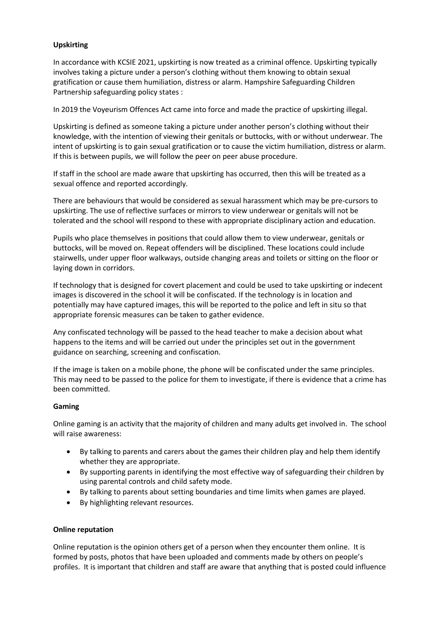## **Upskirting**

In accordance with KCSIE 2021, upskirting is now treated as a criminal offence. Upskirting typically involves taking a picture under a person's clothing without them knowing to obtain sexual gratification or cause them humiliation, distress or alarm. Hampshire Safeguarding Children Partnership safeguarding policy states :

In 2019 the Voyeurism Offences Act came into force and made the practice of upskirting illegal.

Upskirting is defined as someone taking a picture under another person's clothing without their knowledge, with the intention of viewing their genitals or buttocks, with or without underwear. The intent of upskirting is to gain sexual gratification or to cause the victim humiliation, distress or alarm. If this is between pupils, we will follow the peer on peer abuse procedure.

If staff in the school are made aware that upskirting has occurred, then this will be treated as a sexual offence and reported accordingly.

There are behaviours that would be considered as sexual harassment which may be pre-cursors to upskirting. The use of reflective surfaces or mirrors to view underwear or genitals will not be tolerated and the school will respond to these with appropriate disciplinary action and education.

Pupils who place themselves in positions that could allow them to view underwear, genitals or buttocks, will be moved on. Repeat offenders will be disciplined. These locations could include stairwells, under upper floor walkways, outside changing areas and toilets or sitting on the floor or laying down in corridors.

If technology that is designed for covert placement and could be used to take upskirting or indecent images is discovered in the school it will be confiscated. If the technology is in location and potentially may have captured images, this will be reported to the police and left in situ so that appropriate forensic measures can be taken to gather evidence.

Any confiscated technology will be passed to the head teacher to make a decision about what happens to the items and will be carried out under the principles set out in the government guidance on searching, screening and confiscation.

If the image is taken on a mobile phone, the phone will be confiscated under the same principles. This may need to be passed to the police for them to investigate, if there is evidence that a crime has been committed.

## **Gaming**

Online gaming is an activity that the majority of children and many adults get involved in. The school will raise awareness:

- By talking to parents and carers about the games their children play and help them identify whether they are appropriate.
- By supporting parents in identifying the most effective way of safeguarding their children by using parental controls and child safety mode.
- By talking to parents about setting boundaries and time limits when games are played.
- By highlighting relevant resources.

# **Online reputation**

Online reputation is the opinion others get of a person when they encounter them online. It is formed by posts, photos that have been uploaded and comments made by others on people's profiles. It is important that children and staff are aware that anything that is posted could influence